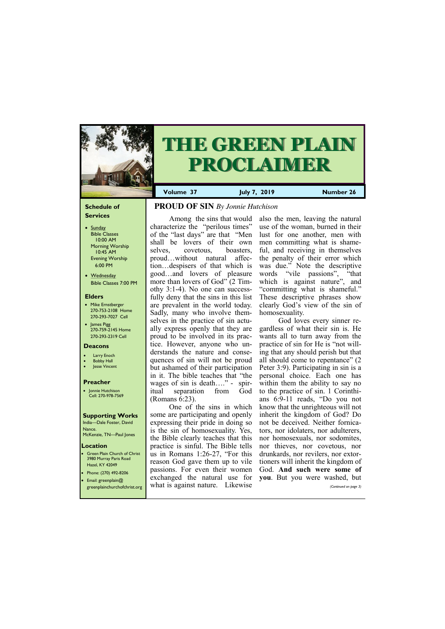#### **Schedule of Services**

- Sunday Bible Classes 10:00 AM Morning Worship 10:45 AM Evening Worship 6:00 PM
- Wednesday Bible Classes 7:00 PM

#### **Elders**

**Green Plain Church of Christ** 3980 Murray Paris Road Hazel, KY 42049 • Phone: (270) 492-8206

- Mike Ernstberger 270-753-2108 Home 270-293-7027 Cell
- James Pigg 270-759-2145 Home 270-293-2319 Cell



# **THE GREEN PLAIN PROCLAIMER**

- **Larry Enoch**
- **Bobby Hall**
- Jesse Vincent

#### **Location**

**Volume 37 July 7, 2019 Number 26**

#### **Deacons**

#### **Preacher**

• Jonnie Hutchison Cell: 270-978-7569

#### **Supporting Works**

India—Dale Foster, David Nance. McKenzie, TN—Paul Jones

# **PROUD OF SIN** *By Jonnie Hutchison*

Among the sins that would characterize the "perilous times" of the "last days" are that "Men shall be lovers of their own selves, covetous, boasters, proud…without natural affection…despisers of that which is good…and lovers of pleasure more than lovers of God" (2 Timothy 3:1-4). No one can successfully deny that the sins in this list are prevalent in the world today. Sadly, many who involve themselves in the practice of sin actually express openly that they are proud to be involved in its practice. However, anyone who understands the nature and consequences of sin will not be proud but ashamed of their participation in it. The bible teaches that "the wages of sin is death…." - spiritual separation from God (Romans 6:23).

One of the sins in which some are participating and openly expressing their pride in doing so is the sin of homosexuality. Yes, the Bible clearly teaches that this practice is sinful. The Bible tells us in Romans 1:26-27, "For this reason God gave them up to vile passions. For even their women

| • Email: greenplain@ | exchanged the natural use for you. But you were washed, but   |  |                       |
|----------------------|---------------------------------------------------------------|--|-----------------------|
|                      | greenplainchurchofchrist.org what is against nature. Likewise |  | (Continued on page 3) |

also the men, leaving the natural use of the woman, burned in their lust for one another, men with men committing what is shameful, and receiving in themselves the penalty of their error which was due." Note the descriptive words "vile passions", "that which is against nature", and "committing what is shameful." These descriptive phrases show clearly God's view of the sin of homosexuality.

God loves every sinner regardless of what their sin is. He wants all to turn away from the practice of sin for He is "not willing that any should perish but that all should come to repentance" (2 Peter 3:9). Participating in sin is a personal choice. Each one has within them the ability to say no to the practice of sin. 1 Corinthians 6:9-11 reads, "Do you not know that the unrighteous will not inherit the kingdom of God? Do not be deceived. Neither fornicators, nor idolaters, nor adulterers, nor homosexuals, nor sodomites, nor thieves, nor covetous, nor drunkards, nor revilers, nor extortioners will inherit the kingdom of God. **And such were some of**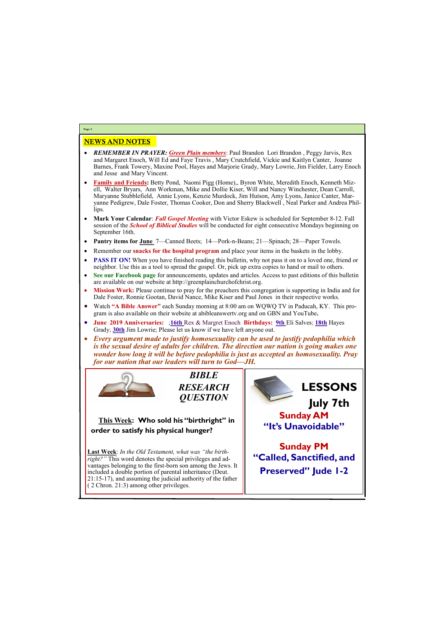## NEWS AND NOTES

- *REMEMBER IN PRAYER: Green Plain members*: Paul Brandon Lori Brandon , Peggy Jarvis, Rex and Margaret Enoch, Will Ed and Faye Travis , Mary Crutchfield, Vickie and Kaitlyn Canter, Joanne Barnes, Frank Towery, Maxine Pool, Hayes and Marjorie Grady, Mary Lowrie, Jim Fielder, Larry Enoch and Jesse and Mary Vincent.
- **Family and Friends:** Betty Pond, Naomi Pigg (Home),, Byron White, Meredith Enoch, Kenneth Mizell, Walter Bryars, Ann Workman, Mike and Dollie Kiser, Will and Nancy Winchester, Dean Carroll, Maryanne Stubblefield, Annie Lyons, Kenzie Murdock, Jim Hutson, Amy Lyons, Janice Canter, Maryanne Pedigrew, Dale Foster, Thomas Cooker, Don and Sherry Blackwell , Neal Parker and Andrea Phillips.
- **Mark Your Calendar**: *Fall Gospel Meeting* with Victor Eskew is scheduled for September 8-12. Fall session of the *School of Biblical Studies* will be conducted for eight consecutive Mondays beginning on September 16th.
- **Pantry items for June** 7—Canned Beets; 14—Pork-n-Beans; 21—Spinach; 28—Paper Towels.
- Remember our **snacks for the hospital program** and place your items in the baskets in the lobby.
- **PASS IT ON!** When you have finished reading this bulletin, why not pass it on to a loved one, friend or neighbor. Use this as a tool to spread the gospel. Or, pick up extra copies to hand or mail to others.
- **See our Facebook page** for announcements, updates and articles. Access to past editions of this bulletin are available on our website at http://greenplainchurchofchrist.org.
- **Mission Work:** Please continue to pray for the preachers this congregation is supporting in India and for Dale Foster, Ronnie Gootan, David Nance, Mike Kiser and Paul Jones in their respective works.
- Watch **"A Bible Answer"** each Sunday morning at 8:00 am on WQWQ TV in Paducah, KY. This program is also available on their website at abibleanswertv.org and on GBN and YouTube**.**
- **June 2019 Anniversaries:** ;**16th** Rex & Margret Enoch **Birthdays: 9th** Eli Salves; **18th** Hayes Grady; **30th** Jim Lowrie; Please let us know if we have left anyone out.
- *Every argument made to justify homosexuality can be used to justify pedophilia which is the sexual desire of adults for children. The direction our nation is going makes one wonder how long it will be before pedophilia is just as accepted as homosexuality. Pray for our nation that our leaders will turn to God—JH.*



**Page 2**

*BIBLE RESEARCH QUESTION*

**This Week: Who sold his "birthright" in order to satisfy his physical hunger?**

**Last Week**: *In the Old Testament, what was "the birthright?"* This word denotes the special privileges and advantages belonging to the first-born son among the Jews. It included a double portion of parental inheritance (Deut.

| $\vert$ 21:15-17), and assuming the judicial authority of the father<br>$(2 \text{ Chron. } 21:3)$ among other privileges. |  |
|----------------------------------------------------------------------------------------------------------------------------|--|
|                                                                                                                            |  |

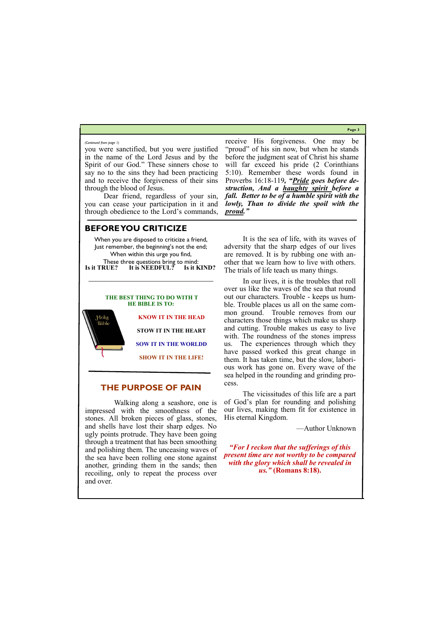**Page 3**

you were sanctified, but you were justified in the name of the Lord Jesus and by the Spirit of our God." These sinners chose to say no to the sins they had been practicing and to receive the forgiveness of their sins through the blood of Jesus.

Dear friend, regardless of your sin, you can cease your participation in it and through obedience to the Lord's commands,

These three questions bring to mind:<br>Is it TRUE? It is NEEDFUL? Is it KIND? **Is it TRUE? It is NEEDFUL? Is it KIND?**

receive His forgiveness. One may be "proud" of his sin now, but when he stands before the judgment seat of Christ his shame will far exceed his pride (2 Corinthians 5:10). Remember these words found in Proverbs 16:18-119*, "Pride goes before destruction, And a haughty spirit before a fall. Better to be of a humble spirit with the lowly, Than to divide the spoil with the proud."* 

#### *(Continued from page 1)*

## **BEFORE YOU CRITICIZE**

When you are disposed to criticize a friend, Just remember, the beginning's not the end; When within this urge you find,

**\_\_\_\_\_\_\_\_\_\_\_\_\_\_\_\_\_\_\_\_\_\_\_\_\_\_\_\_\_\_\_\_\_\_\_\_\_\_\_\_\_\_\_\_\_\_\_\_\_\_\_\_\_\_\_\_\_\_\_\_\_\_\_\_\_\_\_\_\_\_\_\_\_\_\_\_\_\_\_\_\_\_\_\_\_**

#### **THE BEST THING TO DO WITH T HE BIBLE IS TO:**

**KNOW IT IN THE HEAD** Holy Bible **STOW IT IN THE HEART SOW IT IN THE WORLDD SHOW IT IN THE LIFE!**

## **THE PURPOSE OF PAIN**

Walking along a seashore, one is impressed with the smoothness of the stones. All broken pieces of glass, stones, and shells have lost their sharp edges. No ugly points protrude. They have been going through a treatment that has been smoothing and polishing them. The unceasing waves of the sea have been rolling one stone against another, grinding them in the sands; then recoiling, only to repeat the process over and over.

 It is the sea of life, with its waves of adversity that the sharp edges of our lives are removed. It is by rubbing one with another that we learn how to live with others. The trials of life teach us many things.

 In our lives, it is the troubles that roll over us like the waves of the sea that round out our characters. Trouble - keeps us humble. Trouble places us all on the same common ground. Trouble removes from our characters those things which make us sharp and cutting. Trouble makes us easy to live with. The roundness of the stones impress us. The experiences through which they have passed worked this great change in them. It has taken time, but the slow, laborious work has gone on. Every wave of the sea helped in the rounding and grinding process.

 The vicissitudes of this life are a part of God's plan for rounding and polishing our lives, making them fit for existence in His eternal Kingdom.

—Author Unknown

*"For I reckon that the sufferings of this present time are not worthy to be compared with the glory which shall be revealed in us."* **(Romans 8:18).**